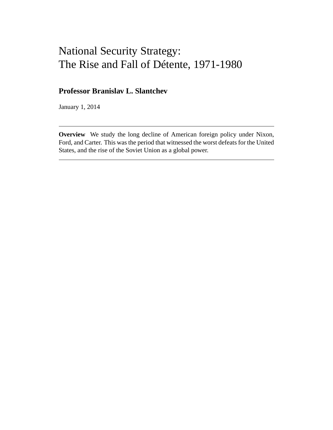# National Security Strategy: The Rise and Fall of Détente, 1971-1980

## **Professor Branislav L. Slantchev**

January 1, 2014

**Overview** We study the long decline of American foreign policy under Nixon, Ford, and Carter. This was the period that witnessed the worst defeats for the United States, and the rise of the Soviet Union as a global power.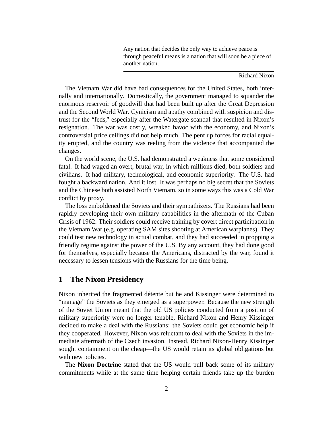Any nation that decides the only way to achieve peace is through peaceful means is a nation that will soon be a piece of another nation.

Richard Nixon

The Vietnam War did have bad consequences for the United States, both internally and internationally. Domestically, the government managed to squander the enormous reservoir of goodwill that had been built up after the Great Depression and the Second World War. Cynicism and apathy combined with suspicion and distrust for the "feds," especially after the Watergate scandal that resulted in Nixon's resignation. The war was costly, wreaked havoc with the economy, and Nixon's controversial price ceilings did not help much. The pent up forces for racial equality erupted, and the country was reeling from the violence that accompanied the changes.

On the world scene, the U.S. had demonstrated a weakness that some considered fatal. It had waged an overt, brutal war, in which millions died, both soldiers and civilians. It had military, technological, and economic superiority. The U.S. had fought a backward nation. And it lost. It was perhaps no big secret that the Soviets and the Chinese both assisted North Vietnam, so in some ways this was a Cold War conflict by proxy.

The loss emboldened the Soviets and their sympathizers. The Russians had been rapidly developing their own military capabilities in the aftermath of the Cuban Crisis of 1962. Their soldiers could receive training by covert direct participation in the Vietnam War (e.g. operating SAM sites shooting at American warplanes). They could test new technology in actual combat, and they had succeeded in propping a friendly regime against the power of the U.S. By any account, they had done good for themselves, especially because the Americans, distracted by the war, found it necessary to lessen tensions with the Russians for the time being.

## **1 The Nixon Presidency**

Nixon inherited the fragmented détente but he and Kissinger were determined to "manage" the Soviets as they emerged as a superpower. Because the new strength of the Soviet Union meant that the old US policies conducted from a position of military superiority were no longer tenable, Richard Nixon and Henry Kissinger decided to make a deal with the Russians: the Soviets could get economic help if they cooperated. However, Nixon was reluctant to deal with the Soviets in the immediate aftermath of the Czech invasion. Instead, Richard Nixon-Henry Kissinger sought containment on the cheap—the US would retain its global obligations but with new policies.

The **Nixon Doctrine** stated that the US would pull back some of its military commitments while at the same time helping certain friends take up the burden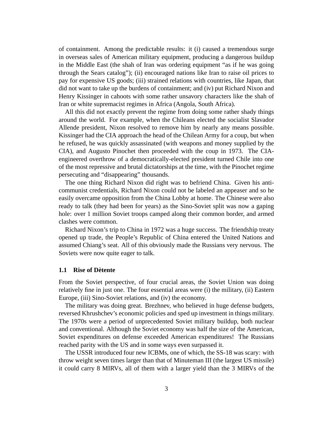of containment. Among the predictable results: it (i) caused a tremendous surge in overseas sales of American military equipment, producing a dangerous buildup in the Middle East (the shah of Iran was ordering equipment "as if he was going through the Sears catalog"); (ii) encouraged nations like Iran to raise oil prices to pay for expensive US goods; (iii) strained relations with countries, like Japan, that did not want to take up the burdens of containment; and (iv) put Richard Nixon and Henry Kissinger in cahoots with some rather unsavory characters like the shah of Iran or white supremacist regimes in Africa (Angola, South Africa).

All this did not exactly prevent the regime from doing some rather shady things around the world. For example, when the Chileans elected the socialist Slavador Allende president, Nixon resolved to remove him by nearly any means possible. Kissinger had the CIA approach the head of the Chilean Army for a coup, but when he refused, he was quickly assassinated (with weapons and money supplied by the CIA), and Augusto Pinochet then proceeded with the coup in 1973. The CIAengineered overthrow of a democratically-elected president turned Chile into one of the most repressive and brutal dictatorships at the time, with the Pinochet regime persecuting and "disappearing" thousands.

The one thing Richard Nixon did right was to befriend China. Given his anticommunist credentials, Richard Nixon could not be labeled an appeaser and so he easily overcame opposition from the China Lobby at home. The Chinese were also ready to talk (they had been for years) as the Sino-Soviet split was now a gaping hole: over 1 million Soviet troops camped along their common border, and armed clashes were common.

Richard Nixon's trip to China in 1972 was a huge success. The friendship treaty opened up trade, the People's Republic of China entered the United Nations and assumed Chiang's seat. All of this obviously made the Russians very nervous. The Soviets were now quite eager to talk.

#### **1.1 Rise of Dètente**

From the Soviet perspective, of four crucial areas, the Soviet Union was doing relatively fine in just one. The four essential areas were (i) the military, (ii) Eastern Europe, (iii) Sino-Soviet relations, and (iv) the economy.

The military was doing great. Brezhnev, who believed in huge defense budgets, reversed Khrushchev's economic policies and sped up investment in things military. The 1970s were a period of unprecedented Soviet military buildup, both nuclear and conventional. Although the Soviet economy was half the size of the American, Soviet expenditures on defense exceeded American expenditures! The Russians reached parity with the US and in some ways even surpassed it.

The USSR introduced four new ICBMs, one of which, the SS-18 was scary: with throw weight seven times larger than that of Minuteman III (the largest US missile) it could carry 8 MIRVs, all of them with a larger yield than the 3 MIRVs of the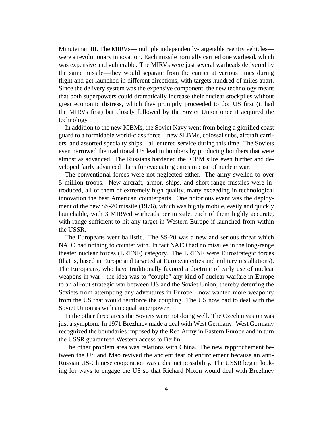Minuteman III. The MIRVs—multiple independently-targetable reentry vehicles were a revolutionary innovation. Each missile normally carried one warhead, which was expensive and vulnerable. The MIRVs were just several warheads delivered by the same missile—they would separate from the carrier at various times during flight and get launched in different directions, with targets hundred of miles apart. Since the delivery system was the expensive component, the new technology meant that both superpowers could dramatically increase their nuclear stockpiles without great economic distress, which they promptly proceeded to do; US first (it had the MIRVs first) but closely followed by the Soviet Union once it acquired the technology.

In addition to the new ICBMs, the Soviet Navy went from being a glorified coast guard to a formidable world-class force—new SLBMs, colossal subs, aircraft carriers, and assorted specialty ships—all entered service during this time. The Soviets even narrowed the traditional US lead in bombers by producing bombers that were almost as advanced. The Russians hardened the ICBM silos even further and developed fairly advanced plans for evacuating cities in case of nuclear war.

The conventional forces were not neglected either. The army swelled to over 5 million troops. New aircraft, armor, ships, and short-range missiles were introduced, all of them of extremely high quality, many exceeding in technological innovation the best American counterparts. One notorious event was the deployment of the new SS-20 missile (1976), which was highly mobile, easily and quickly launchable, with 3 MIRVed warheads per missile, each of them highly accurate, with range sufficient to hit any target in Western Europe if launched from within the USSR.

The Europeans went ballistic. The SS-20 was a new and serious threat which NATO had nothing to counter with. In fact NATO had no missiles in the long-range theater nuclear forces (LRTNF) category. The LRTNF were Eurostrategic forces (that is, based in Europe and targeted at European cities and military installations). The Europeans, who have traditionally favored a doctrine of early use of nuclear weapons in war—the idea was to "couple" any kind of nuclear warfare in Europe to an all-out strategic war between US and the Soviet Union, thereby deterring the Soviets from attempting any adventures in Europe—now wanted more weaponry from the US that would reinforce the coupling. The US now had to deal with the Soviet Union as with an equal superpower.

In the other three areas the Soviets were not doing well. The Czech invasion was just a symptom. In 1971 Brezhnev made a deal with West Germany: West Germany recognized the boundaries imposed by the Red Army in Eastern Europe and in turn the USSR guaranteed Western access to Berlin.

The other problem area was relations with China. The new rapprochement between the US and Mao revived the ancient fear of encirclement because an anti-Russian US-Chinese cooperation was a distinct possibility. The USSR began looking for ways to engage the US so that Richard Nixon would deal with Brezhnev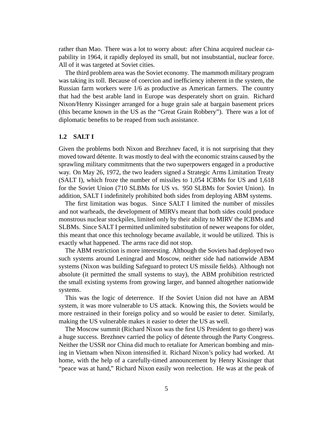rather than Mao. There was a lot to worry about: after China acquired nuclear capability in 1964, it rapidly deployed its small, but not insubstantial, nuclear force. All of it was targeted at Soviet cities.

The third problem area was the Soviet economy. The mammoth military program was taking its toll. Because of coercion and inefficiency inherent in the system, the Russian farm workers were 1/6 as productive as American farmers. The country that had the best arable land in Europe was desperately short on grain. Richard Nixon/Henry Kissinger arranged for a huge grain sale at bargain basement prices (this became known in the US as the "Great Grain Robbery"). There was a lot of diplomatic benefits to be reaped from such assistance.

#### **1.2 SALT I**

Given the problems both Nixon and Brezhnev faced, it is not surprising that they moved toward détente. It was mostly to deal with the economic strains caused by the sprawling military commitments that the two superpowers engaged in a productive way. On May 26, 1972, the two leaders signed a Strategic Arms Limitation Treaty (SALT I), which froze the number of missiles to 1,054 ICBMs for US and 1,618 for the Soviet Union (710 SLBMs for US vs. 950 SLBMs for Soviet Union). In addition, SALT I indefinitely prohibited both sides from deploying ABM systems.

The first limitation was bogus. Since SALT I limited the number of missiles and not warheads, the development of MIRVs meant that both sides could produce monstrous nuclear stockpiles, limited only by their ability to MIRV the ICBMs and SLBMs. Since SALT I permitted unlimited substitution of newer weapons for older, this meant that once this technology became available, it would be utilized. This is exactly what happened. The arms race did not stop.

The ABM restriction is more interesting. Although the Soviets had deployed two such systems around Leningrad and Moscow, neither side had nationwide ABM systems (Nixon was building Safeguard to protect US missile fields). Although not absolute (it permitted the small systems to stay), the ABM prohibition restricted the small existing systems from growing larger, and banned altogether nationwide systems.

This was the logic of deterrence. If the Soviet Union did not have an ABM system, it was more vulnerable to US attack. Knowing this, the Soviets would be more restrained in their foreign policy and so would be easier to deter. Similarly, making the US vulnerable makes it easier to deter the US as well.

The Moscow summit (Richard Nixon was the first US President to go there) was a huge success. Brezhnev carried the policy of détente through the Party Congress. Neither the USSR nor China did much to retaliate for American bombing and mining in Vietnam when Nixon intensified it. Richard Nixon's policy had worked. At home, with the help of a carefully-timed announcement by Henry Kissinger that "peace was at hand," Richard Nixon easily won reelection. He was at the peak of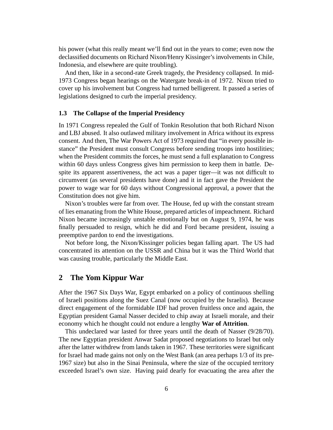his power (what this really meant we'll find out in the years to come; even now the declassified documents on Richard Nixon/Henry Kissinger's involvements in Chile, Indonesia, and elsewhere are quite troubling).

And then, like in a second-rate Greek tragedy, the Presidency collapsed. In mid-1973 Congress began hearings on the Watergate break-in of 1972. Nixon tried to cover up his involvement but Congress had turned belligerent. It passed a series of legislations designed to curb the imperial presidency.

### **1.3 The Collapse of the Imperial Presidency**

In 1971 Congress repealed the Gulf of Tonkin Resolution that both Richard Nixon and LBJ abused. It also outlawed military involvement in Africa without its express consent. And then, The War Powers Act of 1973 required that "in every possible instance" the President must consult Congress before sending troops into hostilities; when the President commits the forces, he must send a full explanation to Congress within 60 days unless Congress gives him permission to keep them in battle. Despite its apparent assertiveness, the act was a paper tiger—it was not difficult to circumvent (as several presidents have done) and it in fact gave the President the power to wage war for 60 days without Congressional approval, a power that the Constitution does not give him.

Nixon's troubles were far from over. The House, fed up with the constant stream of lies emanating from the White House, prepared articles of impeachment. Richard Nixon became increasingly unstable emotionally but on August 9, 1974, he was finally persuaded to resign, which he did and Ford became president, issuing a preemptive pardon to end the investigations.

Not before long, the Nixon/Kissinger policies began falling apart. The US had concentrated its attention on the USSR and China but it was the Third World that was causing trouble, particularly the Middle East.

## **2 The Yom Kippur War**

After the 1967 Six Days War, Egypt embarked on a policy of continuous shelling of Israeli positions along the Suez Canal (now occupied by the Israelis). Because direct engagement of the formidable IDF had proven fruitless once and again, the Egyptian president Gamal Nasser decided to chip away at Israeli morale, and their economy which he thought could not endure a lengthy **War of Attrition**.

This undeclared war lasted for three years until the death of Nasser (9/28/70). The new Egyptian president Anwar Sadat proposed negotiations to Israel but only after the latter withdrew from lands taken in 1967. These territories were significant for Israel had made gains not only on the West Bank (an area perhaps 1/3 of its pre-1967 size) but also in the Sinai Peninsula, where the size of the occupied territory exceeded Israel's own size. Having paid dearly for evacuating the area after the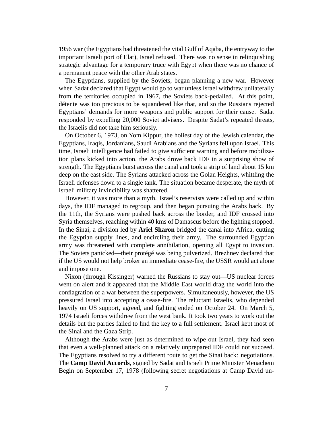1956 war (the Egyptians had threatened the vital Gulf of Aqaba, the entryway to the important Israeli port of Elat), Israel refused. There was no sense in relinquishing strategic advantage for a temporary truce with Egypt when there was no chance of a permanent peace with the other Arab states.

The Egyptians, supplied by the Soviets, began planning a new war. However when Sadat declared that Egypt would go to war unless Israel withdrew unilaterally from the territories occupied in 1967, the Soviets back-pedalled. At this point, détente was too precious to be squandered like that, and so the Russians rejected Egyptians' demands for more weapons and public support for their cause. Sadat responded by expelling 20,000 Soviet advisers. Despite Sadat's repeated threats, the Israelis did not take him seriously.

On October 6, 1973, on Yom Kippur, the holiest day of the Jewish calendar, the Egyptians, Iraqis, Jordanians, Saudi Arabians and the Syrians fell upon Israel. This time, Israeli intelligence had failed to give sufficient warning and before mobilization plans kicked into action, the Arabs drove back IDF in a surprising show of strength. The Egyptians burst across the canal and took a strip of land about 15 km deep on the east side. The Syrians attacked across the Golan Heights, whittling the Israeli defenses down to a single tank. The situation became desperate, the myth of Israeli military invincibility was shattered.

However, it was more than a myth. Israel's reservists were called up and within days, the IDF managed to regroup, and then began pursuing the Arabs back. By the 11th, the Syrians were pushed back across the border, and IDF crossed into Syria themselves, reaching within 40 kms of Damascus before the fighting stopped. In the Sinai, a division led by **Ariel Sharon** bridged the canal into Africa, cutting the Egyptian supply lines, and encircling their army. The surrounded Egyptian army was threatened with complete annihilation, opening all Egypt to invasion. The Soviets panicked—their protégé was being pulverized. Brezhnev declared that if the US would not help broker an immediate cease-fire, the USSR would act alone and impose one.

Nixon (through Kissinger) warned the Russians to stay out—US nuclear forces went on alert and it appeared that the Middle East would drag the world into the conflagration of a war between the superpowers. Simultaneously, however, the US pressured Israel into accepting a cease-fire. The reluctant Israelis, who depended heavily on US support, agreed, and fighting ended on October 24. On March 5, 1974 Israeli forces withdrew from the west bank. It took two years to work out the details but the parties failed to find the key to a full settlement. Israel kept most of the Sinai and the Gaza Strip.

Although the Arabs were just as determined to wipe out Israel, they had seen that even a well-planned attack on a relatively unprepared IDF could not succeed. The Egyptians resolved to try a different route to get the Sinai back: negotiations. The **Camp David Accords**, signed by Sadat and Israeli Prime Minister Menachem Begin on September 17, 1978 (following secret negotiations at Camp David un-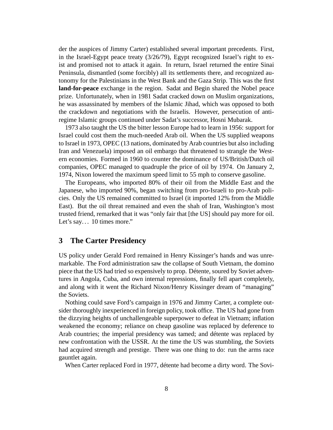der the auspices of Jimmy Carter) established several important precedents. First, in the Israel-Egypt peace treaty (3/26/79), Egypt recognized Israel's right to exist and promised not to attack it again. In return, Israel returned the entire Sinai Peninsula, dismantled (some forcibly) all its settlements there, and recognized autonomy for the Palestinians in the West Bank and the Gaza Strip. This was the first **land-for-peace** exchange in the region. Sadat and Begin shared the Nobel peace prize. Unfortunately, when in 1981 Sadat cracked down on Muslim organizations, he was assassinated by members of the Islamic Jihad, which was opposed to both the crackdown and negotiations with the Israelis. However, persecution of antiregime Islamic groups continued under Sadat's successor, Hosni Mubarak.

1973 also taught the US the bitter lesson Europe had to learn in 1956: support for Israel could cost them the much-needed Arab oil. When the US supplied weapons to Israel in 1973, OPEC (13 nations, dominated by Arab countries but also including Iran and Venezuela) imposed an oil embargo that threatened to strangle the Western economies. Formed in 1960 to counter the dominance of US/British/Dutch oil companies, OPEC managed to quadruple the price of oil by 1974. On January 2, 1974, Nixon lowered the maximum speed limit to 55 mph to conserve gasoline.

The Europeans, who imported 80% of their oil from the Middle East and the Japanese, who imported 90%, began switching from pro-Israeli to pro-Arab policies. Only the US remained committed to Israel (it imported 12% from the Middle East). But the oil threat remained and even the shah of Iran, Washington's most trusted friend, remarked that it was "only fair that [the US] should pay more for oil. Let's say... 10 times more."

## **3 The Carter Presidency**

US policy under Gerald Ford remained in Henry Kissinger's hands and was unremarkable. The Ford administration saw the collapse of South Vietnam, the domino piece that the US had tried so expensively to prop. Détente, soured by Soviet adventures in Angola, Cuba, and own internal repressions, finally fell apart completely, and along with it went the Richard Nixon/Henry Kissinger dream of "managing" the Soviets.

Nothing could save Ford's campaign in 1976 and Jimmy Carter, a complete outsider thoroughly inexperienced in foreign policy, took office. The US had gone from the dizzying heights of unchallengeable superpower to defeat in Vietnam; inflation weakened the economy; reliance on cheap gasoline was replaced by deference to Arab countries; the imperial presidency was tamed; and détente was replaced by new confrontation with the USSR. At the time the US was stumbling, the Soviets had acquired strength and prestige. There was one thing to do: run the arms race gauntlet again.

When Carter replaced Ford in 1977, détente had become a dirty word. The Sovi-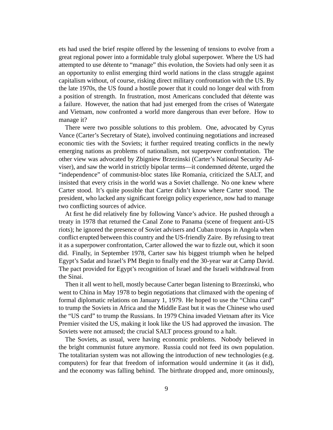ets had used the brief respite offered by the lessening of tensions to evolve from a great regional power into a formidable truly global superpower. Where the US had attempted to use détente to "manage" this evolution, the Soviets had only seen it as an opportunity to enlist emerging third world nations in the class struggle against capitalism without, of course, risking direct military confrontation with the US. By the late 1970s, the US found a hostile power that it could no longer deal with from a position of strength. In frustration, most Americans concluded that détente was a failure. However, the nation that had just emerged from the crises of Watergate and Vietnam, now confronted a world more dangerous than ever before. How to manage it?

There were two possible solutions to this problem. One, advocated by Cyrus Vance (Carter's Secretary of State), involved continuing negotiations and increased economic ties with the Soviets; it further required treating conflicts in the newly emerging nations as problems of nationalism, not superpower confrontation. The other view was advocated by Zbigniew Brzezinski (Carter's National Security Adviser), and saw the world in strictly bipolar terms—it condemned détente, urged the "independence" of communist-bloc states like Romania, criticized the SALT, and insisted that every crisis in the world was a Soviet challenge. No one knew where Carter stood. It's quite possible that Carter didn't know where Carter stood. The president, who lacked any significant foreign policy experience, now had to manage two conflicting sources of advice.

At first he did relatively fine by following Vance's advice. He pushed through a treaty in 1978 that returned the Canal Zone to Panama (scene of frequent anti-US riots); he ignored the presence of Soviet advisers and Cuban troops in Angola when conflict erupted between this country and the US-friendly Zaire. By refusing to treat it as a superpower confrontation, Carter allowed the war to fizzle out, which it soon did. Finally, in September 1978, Carter saw his biggest triumph when he helped Egypt's Sadat and Israel's PM Begin to finally end the 30-year war at Camp David. The pact provided for Egypt's recognition of Israel and the Israeli withdrawal from the Sinai.

Then it all went to hell, mostly because Carter began listening to Brzezinski, who went to China in May 1978 to begin negotiations that climaxed with the opening of formal diplomatic relations on January 1, 1979. He hoped to use the "China card" to trump the Soviets in Africa and the Middle East but it was the Chinese who used the "US card" to trump the Russians. In 1979 China invaded Vietnam after its Vice Premier visited the US, making it look like the US had approved the invasion. The Soviets were not amused; the crucial SALT process ground to a halt.

The Soviets, as usual, were having economic problems. Nobody believed in the bright communist future anymore. Russia could not feed its own population. The totalitarian system was not allowing the introduction of new technologies (e.g. computers) for fear that freedom of information would undermine it (as it did), and the economy was falling behind. The birthrate dropped and, more ominously,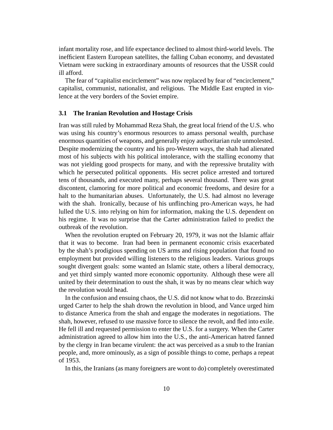infant mortality rose, and life expectance declined to almost third-world levels. The inefficient Eastern European satellites, the falling Cuban economy, and devastated Vietnam were sucking in extraordinary amounts of resources that the USSR could ill afford.

The fear of "capitalist encirclement" was now replaced by fear of "encirclement," capitalist, communist, nationalist, and religious. The Middle East erupted in violence at the very borders of the Soviet empire.

#### **3.1 The Iranian Revolution and Hostage Crisis**

Iran was still ruled by Mohammad Reza Shah, the great local friend of the U.S. who was using his country's enormous resources to amass personal wealth, purchase enormous quantities of weapons, and generally enjoy authoritarian rule unmolested. Despite modernizing the country and his pro-Western ways, the shah had alienated most of his subjects with his political intolerance, with the stalling economy that was not yielding good prospects for many, and with the repressive brutality with which he persecuted political opponents. His secret police arrested and tortured tens of thousands, and executed many, perhaps several thousand. There was great discontent, clamoring for more political and economic freedoms, and desire for a halt to the humanitarian abuses. Unfortunately, the U.S. had almost no leverage with the shah. Ironically, because of his unflinching pro-American ways, he had lulled the U.S. into relying on him for information, making the U.S. dependent on his regime. It was no surprise that the Carter administration failed to predict the outbreak of the revolution.

When the revolution erupted on February 20, 1979, it was not the Islamic affair that it was to become. Iran had been in permanent economic crisis exacerbated by the shah's prodigious spending on US arms and rising population that found no employment but provided willing listeners to the religious leaders. Various groups sought divergent goals: some wanted an Islamic state, others a liberal democracy, and yet third simply wanted more economic opportunity. Although these were all united by their determination to oust the shah, it was by no means clear which way the revolution would head.

In the confusion and ensuing chaos, the U.S. did not know what to do. Brzezinski urged Carter to help the shah drown the revolution in blood, and Vance urged him to distance America from the shah and engage the moderates in negotiations. The shah, however, refused to use massive force to silence the revolt, and fled into exile. He fell ill and requested permission to enter the U.S. for a surgery. When the Carter administration agreed to allow him into the U.S., the anti-American hatred fanned by the clergy in Iran became virulent: the act was perceived as a snub to the Iranian people, and, more ominously, as a sign of possible things to come, perhaps a repeat of 1953.

In this, the Iranians (as many foreigners are wont to do) completely overestimated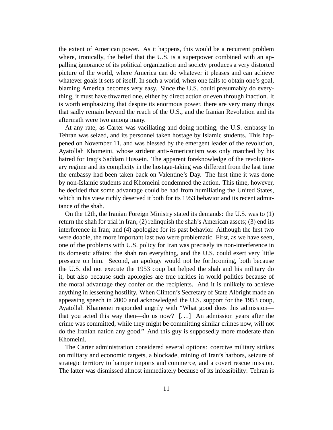the extent of American power. As it happens, this would be a recurrent problem where, ironically, the belief that the U.S. is a superpower combined with an appalling ignorance of its political organization and society produces a very distorted picture of the world, where America can do whatever it pleases and can achieve whatever goals it sets of itself. In such a world, when one fails to obtain one's goal, blaming America becomes very easy. Since the U.S. could presumably do everything, it must have thwarted one, either by direct action or even through inaction. It is worth emphasizing that despite its enormous power, there are very many things that sadly remain beyond the reach of the U.S., and the Iranian Revolution and its aftermath were two among many.

At any rate, as Carter was vacillating and doing nothing, the U.S. embassy in Tehran was seized, and its personnel taken hostage by Islamic students. This happened on November 11, and was blessed by the emergent leader of the revolution, Ayatollah Khomeini, whose strident anti-Americanism was only matched by his hatred for Iraq's Saddam Hussein. The apparent foreknowledge of the revolutionary regime and its complicity in the hostage-taking was different from the last time the embassy had been taken back on Valentine's Day. The first time it was done by non-Islamic students and Khomeini condemned the action. This time, however, he decided that some advantage could be had from humiliating the United States, which in his view richly deserved it both for its 1953 behavior and its recent admittance of the shah.

On the 12th, the Iranian Foreign Ministry stated its demands: the U.S. was to (1) return the shah for trial in Iran; (2) relinquish the shah's American assets; (3) end its interference in Iran; and (4) apologize for its past behavior. Although the first two were doable, the more important last two were problematic. First, as we have seen, one of the problems with U.S. policy for Iran was precisely its non-interference in its domestic affairs: the shah ran everything, and the U.S. could exert very little pressure on him. Second, an apology would not be forthcoming, both because the U.S. did not execute the 1953 coup but helped the shah and his military do it, but also because such apologies are true rarities in world politics because of the moral advantage they confer on the recipients. And it is unlikely to achieve anything in lessening hostility. When Clinton's Secretary of State Albright made an appeasing speech in 2000 and acknowledged the U.S. support for the 1953 coup, Ayatollah Khamenei responded angrily with "What good does this admission that you acted this way then—do us now?  $[\dots]$  An admission years after the crime was committed, while they might be committing similar crimes now, will not do the Iranian nation any good." And this guy is supposedly more moderate than Khomeini.

The Carter administration considered several options: coercive military strikes on military and economic targets, a blockade, mining of Iran's harbors, seizure of strategic territory to hamper imports and commerce, and a covert rescue mission. The latter was dismissed almost immediately because of its infeasibility: Tehran is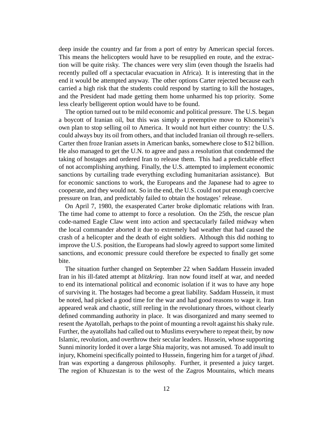deep inside the country and far from a port of entry by American special forces. This means the helicopters would have to be resupplied en route, and the extraction will be quite risky. The chances were very slim (even though the Israelis had recently pulled off a spectacular evacuation in Africa). It is interesting that in the end it would be attempted anyway. The other options Carter rejected because each carried a high risk that the students could respond by starting to kill the hostages, and the President had made getting them home unharmed his top priority. Some less clearly belligerent option would have to be found.

The option turned out to be mild economic and political pressure. The U.S. began a boycott of Iranian oil, but this was simply a preemptive move to Khomeini's own plan to stop selling oil to America. It would not hurt either country: the U.S. could always buy its oil from others, and that included Iranian oil through re-sellers. Carter then froze Iranian assets in American banks, somewhere close to \$12 billion. He also managed to get the U.N. to agree and pass a resolution that condemned the taking of hostages and ordered Iran to release them. This had a predictable effect of not accomplishing anything. Finally, the U.S. attempted to implement economic sanctions by curtailing trade everything excluding humanitarian assistance). But for economic sanctions to work, the Europeans and the Japanese had to agree to cooperate, and they would not. So in the end, the U.S. could not put enough coercive pressure on Iran, and predictably failed to obtain the hostages' release.

On April 7, 1980, the exasperated Carter broke diplomatic relations with Iran. The time had come to attempt to force a resolution. On the 25th, the rescue plan code-named Eagle Claw went into action and spectacularly failed midway when the local commander aborted it due to extremely bad weather that had caused the crash of a helicopter and the death of eight soldiers. Although this did nothing to improve the U.S. position, the Europeans had slowly agreed to support some limited sanctions, and economic pressure could therefore be expected to finally get some bite.

The situation further changed on September 22 when Saddam Hussein invaded Iran in his ill-fated attempt at *blitzkrieg*. Iran now found itself at war, and needed to end its international political and economic isolation if it was to have any hope of surviving it. The hostages had become a great liability. Saddam Hussein, it must be noted, had picked a good time for the war and had good reasons to wage it. Iran appeared weak and chaotic, still reeling in the revolutionary throes, without clearly defined commanding authority in place. It was disorganized and many seemed to resent the Ayatollah, perhaps to the point of mounting a revolt against his shaky rule. Further, the ayatollahs had called out to Muslims everywhere to repeat their, by now Islamic, revolution, and overthrow their secular leaders. Hussein, whose supporting Sunni minority lorded it over a large Shia majority, was not amused. To add insult to injury, Khomeini specifically pointed to Hussein, fingering him for a target of *jihad*. Iran was exporting a dangerous philosophy. Further, it presented a juicy target. The region of Khuzestan is to the west of the Zagros Mountains, which means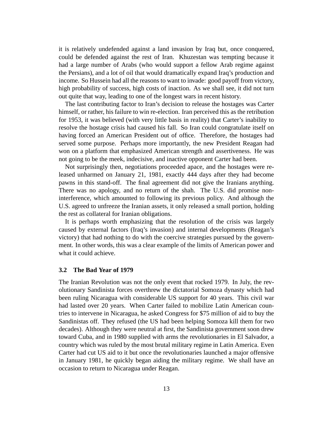it is relatively undefended against a land invasion by Iraq but, once conquered, could be defended against the rest of Iran. Khuzestan was tempting because it had a large number of Arabs (who would support a fellow Arab regime against the Persians), and a lot of oil that would dramatically expand Iraq's production and income. So Hussein had all the reasons to want to invade: good payoff from victory, high probability of success, high costs of inaction. As we shall see, it did not turn out quite that way, leading to one of the longest wars in recent history.

The last contributing factor to Iran's decision to release the hostages was Carter himself, or rather, his failure to win re-election. Iran perceived this as the retribution for 1953, it was believed (with very little basis in reality) that Carter's inability to resolve the hostage crisis had caused his fall. So Iran could congratulate itself on having forced an American President out of office. Therefore, the hostages had served some purpose. Perhaps more importantly, the new President Reagan had won on a platform that emphasized American strength and assertiveness. He was not going to be the meek, indecisive, and inactive opponent Carter had been.

Not surprisingly then, negotiations proceeded apace, and the hostages were released unharmed on January 21, 1981, exactly 444 days after they had become pawns in this stand-off. The final agreement did not give the Iranians anything. There was no apology, and no return of the shah. The U.S. did promise noninterference, which amounted to following its previous policy. And although the U.S. agreed to unfreeze the Iranian assets, it only released a small portion, holding the rest as collateral for Iranian obligations.

It is perhaps worth emphasizing that the resolution of the crisis was largely caused by external factors (Iraq's invasion) and internal developments (Reagan's victory) that had nothing to do with the coercive strategies pursued by the government. In other words, this was a clear example of the limits of American power and what it could achieve.

#### **3.2 The Bad Year of 1979**

The Iranian Revolution was not the only event that rocked 1979. In July, the revolutionary Sandinista forces overthrew the dictatorial Somoza dynasty which had been ruling Nicaragua with considerable US support for 40 years. This civil war had lasted over 20 years. When Carter failed to mobilize Latin American countries to intervene in Nicaragua, he asked Congress for \$75 million of aid to buy the Sandinistas off. They refused (the US had been helping Somoza kill them for two decades). Although they were neutral at first, the Sandinista government soon drew toward Cuba, and in 1980 supplied with arms the revolutionaries in El Salvador, a country which was ruled by the most brutal military regime in Latin America. Even Carter had cut US aid to it but once the revolutionaries launched a major offensive in January 1981, he quickly began aiding the military regime. We shall have an occasion to return to Nicaragua under Reagan.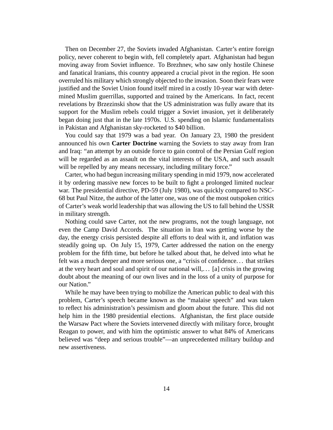Then on December 27, the Soviets invaded Afghanistan. Carter's entire foreign policy, never coherent to begin with, fell completely apart. Afghanistan had begun moving away from Soviet influence. To Brezhnev, who saw only hostile Chinese and fanatical Iranians, this country appeared a crucial pivot in the region. He soon overruled his military which strongly objected to the invasion. Soon their fears were justified and the Soviet Union found itself mired in a costly 10-year war with determined Muslim guerrillas, supported and trained by the Americans. In fact, recent revelations by Brzezinski show that the US administration was fully aware that its support for the Muslim rebels could trigger a Soviet invasion, yet it deliberately began doing just that in the late 1970s. U.S. spending on Islamic fundamentalists in Pakistan and Afghanistan sky-rocketed to \$40 billion.

You could say that 1979 was a bad year. On January 23, 1980 the president announced his own **Carter Doctrine** warning the Soviets to stay away from Iran and Iraq: "an attempt by an outside force to gain control of the Persian Gulf region will be regarded as an assault on the vital interests of the USA, and such assault will be repelled by any means necessary, including military force."

Carter, who had begun increasing military spending in mid 1979, now accelerated it by ordering massive new forces to be built to fight a prolonged limited nuclear war. The presidential directive, PD-59 (July 1980), was quickly compared to NSC-68 but Paul Nitze, the author of the latter one, was one of the most outspoken critics of Carter's weak world leadership that was allowing the US to fall behind the USSR in military strength.

Nothing could save Carter, not the new programs, not the tough language, not even the Camp David Accords. The situation in Iran was getting worse by the day, the energy crisis persisted despite all efforts to deal with it, and inflation was steadily going up. On July 15, 1979, Carter addressed the nation on the energy problem for the fifth time, but before he talked about that, he delved into what he felt was a much deeper and more serious one, a "crisis of confidence. . . that strikes at the very heart and soul and spirit of our national will,. . . [a] crisis in the growing doubt about the meaning of our own lives and in the loss of a unity of purpose for our Nation."

While he may have been trying to mobilize the American public to deal with this problem, Carter's speech became known as the "malaise speech" and was taken to reflect his administration's pessimism and gloom about the future. This did not help him in the 1980 presidential elections. Afghanistan, the first place outside the Warsaw Pact where the Soviets intervened directly with military force, brought Reagan to power, and with him the optimistic answer to what 84% of Americans believed was "deep and serious trouble"—an unprecedented military buildup and new assertiveness.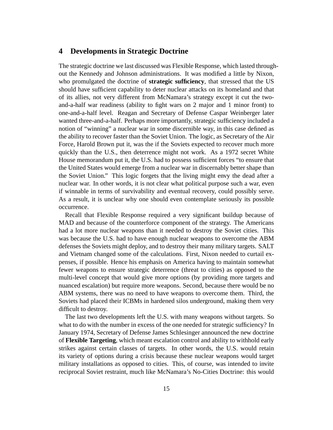## **4 Developments in Strategic Doctrine**

The strategic doctrine we last discussed was Flexible Response, which lasted throughout the Kennedy and Johnson administrations. It was modified a little by Nixon, who promulgated the doctrine of **strategic sufficiency**, that stressed that the US should have sufficient capability to deter nuclear attacks on its homeland and that of its allies, not very different from McNamara's strategy except it cut the twoand-a-half war readiness (ability to fight wars on 2 major and 1 minor front) to one-and-a-half level. Reagan and Secretary of Defense Caspar Weinberger later wanted three-and-a-half. Perhaps more importantly, strategic sufficiency included a notion of "winning" a nuclear war in some discernible way, in this case defined as the ability to recover faster than the Soviet Union. The logic, as Secretary of the Air Force, Harold Brown put it, was the if the Soviets expected to recover much more quickly than the U.S., then deterrence might not work. As a 1972 secret White House memorandum put it, the U.S. had to possess sufficient forces "to ensure that the United States would emerge from a nuclear war in discernably better shape than the Soviet Union." This logic forgets that the living might envy the dead after a nuclear war. In other words, it is not clear what political purpose such a war, even if winnable in terms of survivability and eventual recovery, could possibly serve. As a result, it is unclear why one should even contemplate seriously its possible occurrence.

Recall that Flexible Response required a very significant buildup because of MAD and because of the counterforce component of the strategy. The Americans had a lot more nuclear weapons than it needed to destroy the Soviet cities. This was because the U.S. had to have enough nuclear weapons to overcome the ABM defenses the Soviets might deploy, and to destroy their many military targets. SALT and Vietnam changed some of the calculations. First, Nixon needed to curtail expenses, if possible. Hence his emphasis on America having to maintain somewhat fewer weapons to ensure strategic deterrence (threat to cities) as opposed to the multi-level concept that would give more options (by providing more targets and nuanced escalation) but require more weapons. Second, because there would be no ABM systems, there was no need to have weapons to overcome them. Third, the Soviets had placed their ICBMs in hardened silos underground, making them very difficult to destroy.

The last two developments left the U.S. with many weapons without targets. So what to do with the number in excess of the one needed for strategic sufficiency? In January 1974, Secretary of Defense James Schlesinger announced the new doctrine of **Flexible Targeting**, which meant escalation control and ability to withhold early strikes against certain classes of targets. In other words, the U.S. would retain its variety of options during a crisis because these nuclear weapons would target military installations as opposed to cities. This, of course, was intended to invite reciprocal Soviet restraint, much like McNamara's No-Cities Doctrine: this would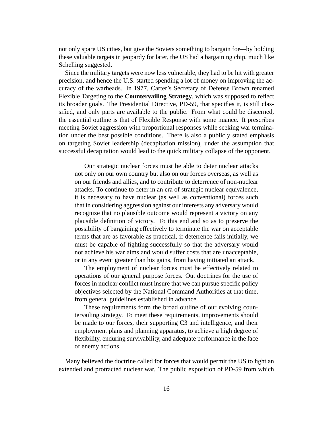not only spare US cities, but give the Soviets something to bargain for—by holding these valuable targets in jeopardy for later, the US had a bargaining chip, much like Schelling suggested.

Since the military targets were now less vulnerable, they had to be hit with greater precision, and hence the U.S. started spending a lot of money on improving the accuracy of the warheads. In 1977, Carter's Secretary of Defense Brown renamed Flexible Targeting to the **Countervailing Strategy**, which was supposed to reflect its broader goals. The Presidential Directive, PD-59, that specifies it, is still classified, and only parts are available to the public. From what could be discerned, the essential outline is that of Flexible Response with some nuance. It prescribes meeting Soviet aggression with proportional responses while seeking war termination under the best possible conditions. There is also a publicly stated emphasis on targeting Soviet leadership (decapitation mission), under the assumption that successful decapitation would lead to the quick military collapse of the opponent.

Our strategic nuclear forces must be able to deter nuclear attacks not only on our own country but also on our forces overseas, as well as on our friends and allies, and to contribute to deterrence of non-nuclear attacks. To continue to deter in an era of strategic nuclear equivalence, it is necessary to have nuclear (as well as conventional) forces such that in considering aggression against our interests any adversary would recognize that no plausible outcome would represent a victory on any plausible definition of victory. To this end and so as to preserve the possibility of bargaining effectively to terminate the war on acceptable terms that are as favorable as practical, if deterrence fails initially, we must be capable of fighting successfully so that the adversary would not achieve his war aims and would suffer costs that are unacceptable, or in any event greater than his gains, from having initiated an attack.

The employment of nuclear forces must be effectively related to operations of our general purpose forces. Out doctrines for the use of forces in nuclear conflict must insure that we can pursue specific policy objectives selected by the National Command Authorities at that time, from general guidelines established in advance.

These requirements form the broad outline of our evolving countervailing strategy. To meet these requirements, improvements should be made to our forces, their supporting C3 and intelligence, and their employment plans and planning apparatus, to achieve a high degree of flexibility, enduring survivability, and adequate performance in the face of enemy actions.

Many believed the doctrine called for forces that would permit the US to fight an extended and protracted nuclear war. The public exposition of PD-59 from which